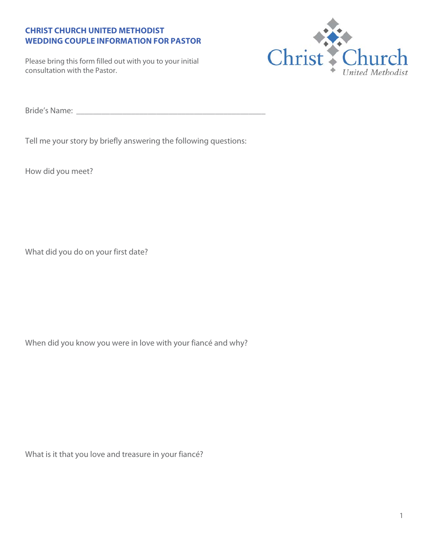## **CHRIST CHURCH UNITED METHODIST WEDDING COUPLE INFORMATION FOR PASTOR**

Please bring this form filled out with you to your initial consultation with the Pastor.



Bride's Name: \_\_\_\_\_\_\_\_\_\_\_\_\_\_\_\_\_\_\_\_\_\_\_\_\_\_\_\_\_\_\_\_\_\_\_\_\_\_\_\_\_\_\_\_\_

Tell me your story by briefly answering the following questions:

How did you meet?

What did you do on your first date?

When did you know you were in love with your fiancé and why?

What is it that you love and treasure in your fiancé?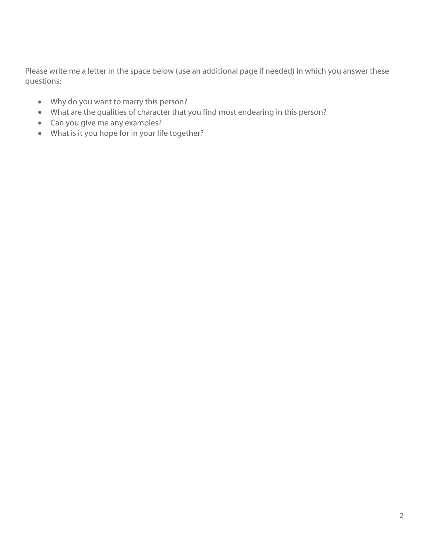Please write me a letter in the space below (use an additional page if needed) in which you answer these questions:

- Why do you want to marry this person?
- What are the qualities of character that you find most endearing in this person?
- Can you give me any examples?
- What is it you hope for in your life together?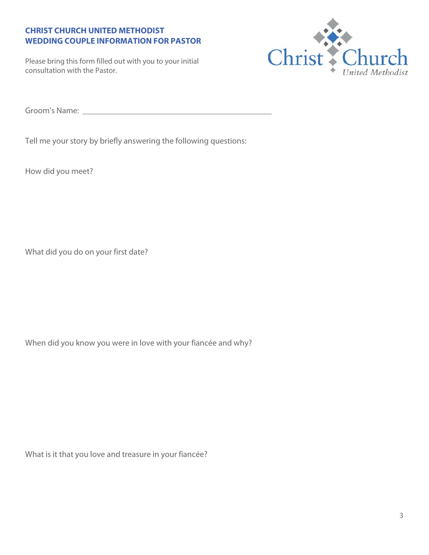## **CHRIST CHURCH UNITED METHODIST WEDDING COUPLE INFORMATION FOR PASTOR**

Please bring this form filled out with you to your initial consultation with the Pastor.



Groom's Name: \_\_\_\_\_\_\_\_\_\_\_\_\_\_\_\_\_\_\_\_\_\_\_\_\_\_\_\_\_\_\_\_\_\_\_\_\_\_\_\_\_\_\_\_\_

Tell me your story by briefly answering the following questions:

How did you meet?

What did you do on your first date?

When did you know you were in love with your fiancée and why?

What is it that you love and treasure in your fiancée?